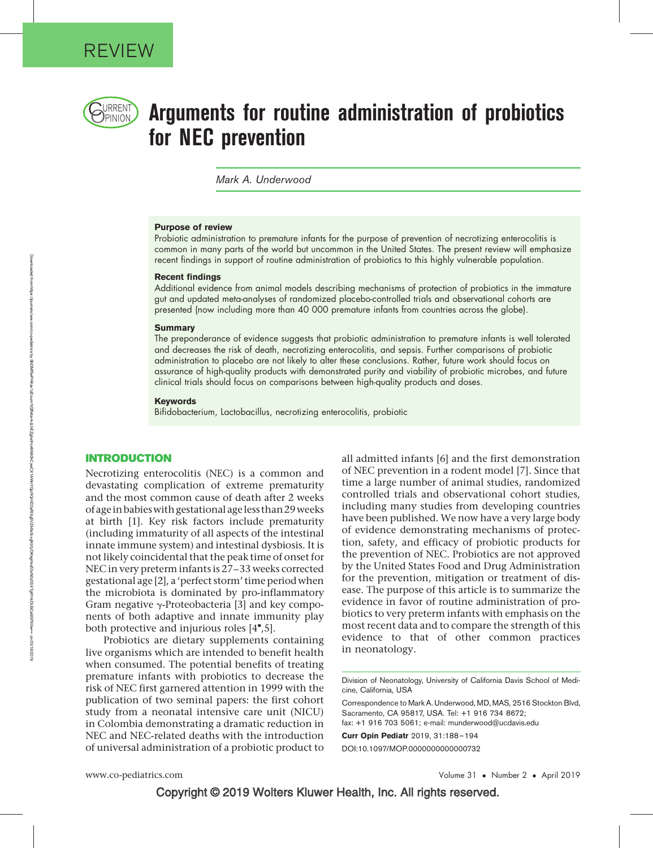

# $\bigcup_{\text{PINION}}$  Arguments for routine administration of probiotics for NEC prevention

Mark A. Underwood

#### Purpose of review

Probiotic administration to premature infants for the purpose of prevention of necrotizing enterocolitis is common in many parts of the world but uncommon in the United States. The present review will emphasize recent findings in support of routine administration of probiotics to this highly vulnerable population.

#### Recent findings

Additional evidence from animal models describing mechanisms of protection of probiotics in the immature gut and updated meta-analyses of randomized placebo-controlled trials and observational cohorts are presented (now including more than 40 000 premature infants from countries across the globe).

#### **Summary**

The preponderance of evidence suggests that probiotic administration to premature infants is well tolerated and decreases the risk of death, necrotizing enterocolitis, and sepsis. Further comparisons of probiotic administration to placebo are not likely to alter these conclusions. Rather, future work should focus on assurance of high-quality products with demonstrated purity and viability of probiotic microbes, and future clinical trials should focus on comparisons between high-quality products and doses.

#### Keywords

Bifidobacterium, Lactobacillus, necrotizing enterocolitis, probiotic

### INTRODUCTION

Necrotizing enterocolitis (NEC) is a common and devastating complication of extreme prematurity and the most common cause of death after 2 weeks of age in babieswith gestational age less than 29weeks at birth [1]. Key risk factors include prematurity (including immaturity of all aspects of the intestinal innate immune system) and intestinal dysbiosis. It is not likely coincidental that the peak time of onset for NEC in very preterm infants is 27–33 weeks corrected gestational age [2], a 'perfect storm' time period when the microbiota is dominated by pro-inflammatory Gram negative  $\gamma$ -Proteobacteria [3] and key components of both adaptive and innate immunity play both protective and injurious roles  $[4^{\bullet},5]$ .

Probiotics are dietary supplements containing live organisms which are intended to benefit health when consumed. The potential benefits of treating premature infants with probiotics to decrease the risk of NEC first garnered attention in 1999 with the publication of two seminal papers: the first cohort study from a neonatal intensive care unit (NICU) in Colombia demonstrating a dramatic reduction in NEC and NEC-related deaths with the introduction of universal administration of a probiotic product to

all admitted infants [6] and the first demonstration of NEC prevention in a rodent model [7]. Since that time a large number of animal studies, randomized controlled trials and observational cohort studies, including many studies from developing countries have been published. We now have a very large body of evidence demonstrating mechanisms of protection, safety, and efficacy of probiotic products for the prevention of NEC. Probiotics are not approved by the United States Food and Drug Administration for the prevention, mitigation or treatment of disease. The purpose of this article is to summarize the evidence in favor of routine administration of probiotics to very preterm infants with emphasis on the most recent data and to compare the strength of this evidence to that of other common practices in neonatology.

Division of Neonatology, University of California Davis School of Medicine, California, USA

Correspondence to Mark A. Underwood, MD, MAS, 2516 Stockton Blvd, Sacramento, CA 95817, USA. Tel: +1 916 734 8672; fax: +1 916 703 5061; e-mail: [munderwood@ucdavis.edu](mailto:munderwood@ucdavis.edu)

Curr Opin Pediatr 2019, 31:188–194 DOI:10.1097/MOP.0000000000000732

• Number 2 • April 2019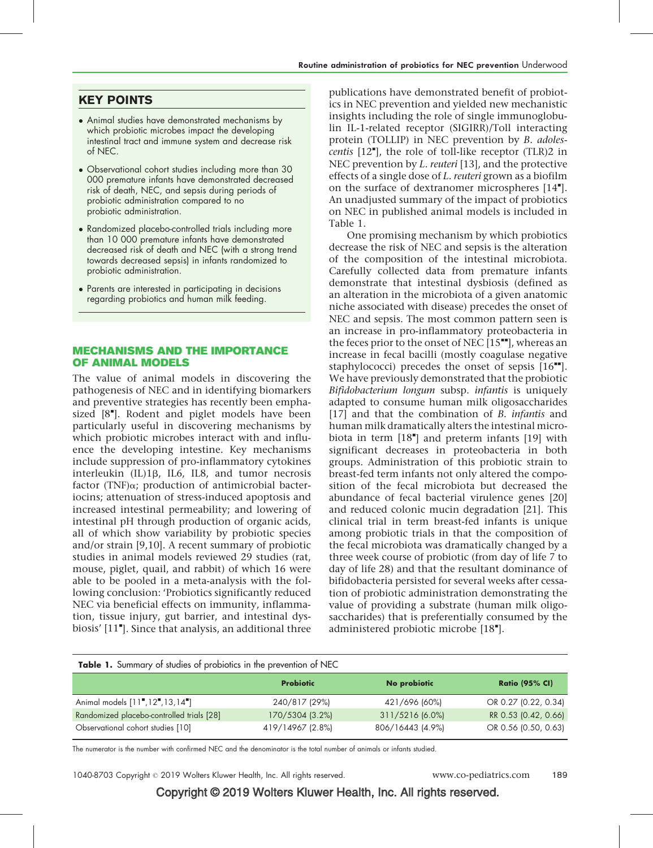# KEY POINTS

- Animal studies have demonstrated mechanisms by which probiotic microbes impact the developing intestinal tract and immune system and decrease risk of NEC.
- Observational cohort studies including more than 30 000 premature infants have demonstrated decreased risk of death, NEC, and sepsis during periods of probiotic administration compared to no probiotic administration.
- Randomized placebo-controlled trials including more than 10 000 premature infants have demonstrated decreased risk of death and NEC (with a strong trend towards decreased sepsis) in infants randomized to probiotic administration.
- Parents are interested in participating in decisions regarding probiotics and human milk feeding.

# MECHANISMS AND THE IMPORTANCE OF ANIMAL MODELS

The value of animal models in discovering the pathogenesis of NEC and in identifying biomarkers and preventive strategies has recently been emphasized [8"]. Rodent and piglet models have been particularly useful in discovering mechanisms by which probiotic microbes interact with and influence the developing intestine. Key mechanisms include suppression of pro-inflammatory cytokines interleukin  $(IL)1\beta$ ,  $IL6$ ,  $IL8$ , and tumor necrosis factor (TNF) $\alpha$ ; production of antimicrobial bacteriocins; attenuation of stress-induced apoptosis and increased intestinal permeability; and lowering of intestinal pH through production of organic acids, all of which show variability by probiotic species and/or strain [9,10]. A recent summary of probiotic studies in animal models reviewed 29 studies (rat, mouse, piglet, quail, and rabbit) of which 16 were able to be pooled in a meta-analysis with the following conclusion: 'Probiotics significantly reduced NEC via beneficial effects on immunity, inflammation, tissue injury, gut barrier, and intestinal dysbiosis' [11"]. Since that analysis, an additional three

publications have demonstrated benefit of probiotics in NEC prevention and yielded new mechanistic insights including the role of single immunoglobulin IL-1-related receptor (SIGIRR)/Toll interacting protein (TOLLIP) in NEC prevention by B. adolescentis [12"], the role of toll-like receptor (TLR)2 in NEC prevention by *L. reuteri* [13], and the protective effects of a single dose of L. reuteri grown as a biofilm on the surface of dextranomer microspheres [14"]. An unadjusted summary of the impact of probiotics on NEC in published animal models is included in Table 1.

One promising mechanism by which probiotics decrease the risk of NEC and sepsis is the alteration of the composition of the intestinal microbiota. Carefully collected data from premature infants demonstrate that intestinal dysbiosis (defined as an alteration in the microbiota of a given anatomic niche associated with disease) precedes the onset of NEC and sepsis. The most common pattern seen is an increase in pro-inflammatory proteobacteria in the feces prior to the onset of NEC  $[15"$ , whereas an increase in fecal bacilli (mostly coagulase negative staphylococci) precedes the onset of sepsis  $[16<sup>••</sup>]$ . We have previously demonstrated that the probiotic Bifidobacterium longum subsp. infantis is uniquely adapted to consume human milk oligosaccharides [17] and that the combination of *B. infantis* and human milk dramatically alters the intestinal microbiota in term  $[18"]$  and preterm infants  $[19]$  with significant decreases in proteobacteria in both groups. Administration of this probiotic strain to breast-fed term infants not only altered the composition of the fecal microbiota but decreased the abundance of fecal bacterial virulence genes [20] and reduced colonic mucin degradation [21]. This clinical trial in term breast-fed infants is unique among probiotic trials in that the composition of the fecal microbiota was dramatically changed by a three week course of probiotic (from day of life 7 to day of life 28) and that the resultant dominance of bifidobacteria persisted for several weeks after cessation of probiotic administration demonstrating the value of providing a substrate (human milk oligosaccharides) that is preferentially consumed by the administered probiotic microbe [18"].

| Table 1. Summary of studies of probiotics in the prevention of NEC |                  |                  |                       |  |  |
|--------------------------------------------------------------------|------------------|------------------|-----------------------|--|--|
|                                                                    | <b>Probiotic</b> | No probiotic     | <b>Ratio (95% CI)</b> |  |  |
| Animal models [11", 12", 13, 14"]                                  | 240/817 (29%)    | 421/696 (60%)    | OR 0.27 (0.22, 0.34)  |  |  |
| Randomized placebo-controlled trials [28]                          | 170/5304 (3.2%)  | 311/5216 (6.0%)  | RR 0.53 (0.42, 0.66)  |  |  |
| Observational cohort studies [10]                                  | 419/14967 (2.8%) | 806/16443 (4.9%) | OR 0.56 (0.50, 0.63)  |  |  |

The numerator is the number with confirmed NEC and the denominator is the total number of animals or infants studied.

1040-8703 Copyright © 2019 Wolters Kluwer Health, Inc. All rights reserved. www.co-pediatrics.com 189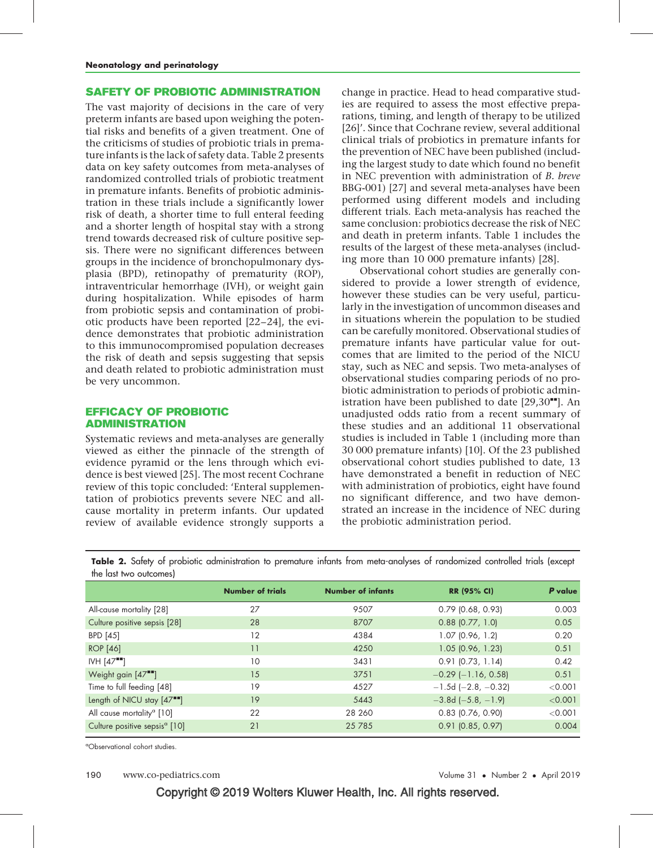# SAFETY OF PROBIOTIC ADMINISTRATION

The vast majority of decisions in the care of very preterm infants are based upon weighing the potential risks and benefits of a given treatment. One of the criticisms of studies of probiotic trials in premature infants is the lack of safety data. Table 2 presents data on key safety outcomes from meta-analyses of randomized controlled trials of probiotic treatment in premature infants. Benefits of probiotic administration in these trials include a significantly lower risk of death, a shorter time to full enteral feeding and a shorter length of hospital stay with a strong trend towards decreased risk of culture positive sepsis. There were no significant differences between groups in the incidence of bronchopulmonary dysplasia (BPD), retinopathy of prematurity (ROP), intraventricular hemorrhage (IVH), or weight gain during hospitalization. While episodes of harm from probiotic sepsis and contamination of probiotic products have been reported [22–24], the evidence demonstrates that probiotic administration to this immunocompromised population decreases the risk of death and sepsis suggesting that sepsis and death related to probiotic administration must be very uncommon.

# EFFICACY OF PROBIOTIC ADMINISTRATION

Systematic reviews and meta-analyses are generally viewed as either the pinnacle of the strength of evidence pyramid or the lens through which evidence is best viewed [25]. The most recent Cochrane review of this topic concluded: 'Enteral supplementation of probiotics prevents severe NEC and allcause mortality in preterm infants. Our updated review of available evidence strongly supports a

change in practice. Head to head comparative studies are required to assess the most effective preparations, timing, and length of therapy to be utilized [26]'. Since that Cochrane review, several additional clinical trials of probiotics in premature infants for the prevention of NEC have been published (including the largest study to date which found no benefit in NEC prevention with administration of B. breve BBG-001) [27] and several meta-analyses have been performed using different models and including different trials. Each meta-analysis has reached the same conclusion: probiotics decrease the risk of NEC and death in preterm infants. Table 1 includes the results of the largest of these meta-analyses (including more than 10 000 premature infants) [28].

Observational cohort studies are generally considered to provide a lower strength of evidence, however these studies can be very useful, particularly in the investigation of uncommon diseases and in situations wherein the population to be studied can be carefully monitored. Observational studies of premature infants have particular value for outcomes that are limited to the period of the NICU stay, such as NEC and sepsis. Two meta-analyses of observational studies comparing periods of no probiotic administration to periods of probiotic administration have been published to date  $[29,30$ <sup> $\blacksquare$ </sup>. An unadjusted odds ratio from a recent summary of these studies and an additional 11 observational studies is included in Table 1 (including more than 30 000 premature infants) [10]. Of the 23 published observational cohort studies published to date, 13 have demonstrated a benefit in reduction of NEC with administration of probiotics, eight have found no significant difference, and two have demonstrated an increase in the incidence of NEC during the probiotic administration period.

Table 2. Safety of probiotic administration to premature infants from meta-analyses of randomized controlled trials (except the last two outcomes)

|                                           | <b>Number of trials</b> | <b>Number of infants</b> | <b>RR (95% CI)</b>          | P value |
|-------------------------------------------|-------------------------|--------------------------|-----------------------------|---------|
| All-cause mortality [28]                  | 27                      | 9507                     | $0.79$ (0.68, 0.93)         | 0.003   |
| Culture positive sepsis [28]              | 28                      | 8707                     | $0.88$ (0.77, 1.0)          | 0.05    |
| BPD [45]                                  | 12                      | 4384                     | $1.07$ (0.96, 1.2)          | 0.20    |
| <b>ROP</b> [46]                           | 11                      | 4250                     | $1.05$ (0.96, 1.23)         | 0.51    |
| $IVH [47$ <sup>--</sup> ]                 | 10                      | 3431                     | $0.91$ (0.73, 1.14)         | 0.42    |
| Weight gain $[47$ <sup>--</sup> ]         | 15                      | 3751                     | $-0.29$ ( $-1.16$ , 0.58)   | 0.51    |
| Time to full feeding [48]                 | 19                      | 4527                     | $-1.5d$ (-2.8, -0.32)       | < 0.001 |
| Length of NICU stay [47""]                | 19                      | 5443                     | $-3.8d$ ( $-5.8$ , $-1.9$ ) | < 0.001 |
| All cause mortality <sup>a</sup> [10]     | 22                      | 28 260                   | $0.83$ (0.76, 0.90)         | < 0.001 |
| Culture positive sepsis <sup>a</sup> [10] | 21                      | 25 7 85                  | $0.91$ (0.85, 0.97)         | 0.004   |
|                                           |                         |                          |                             |         |

a Observational cohort studies.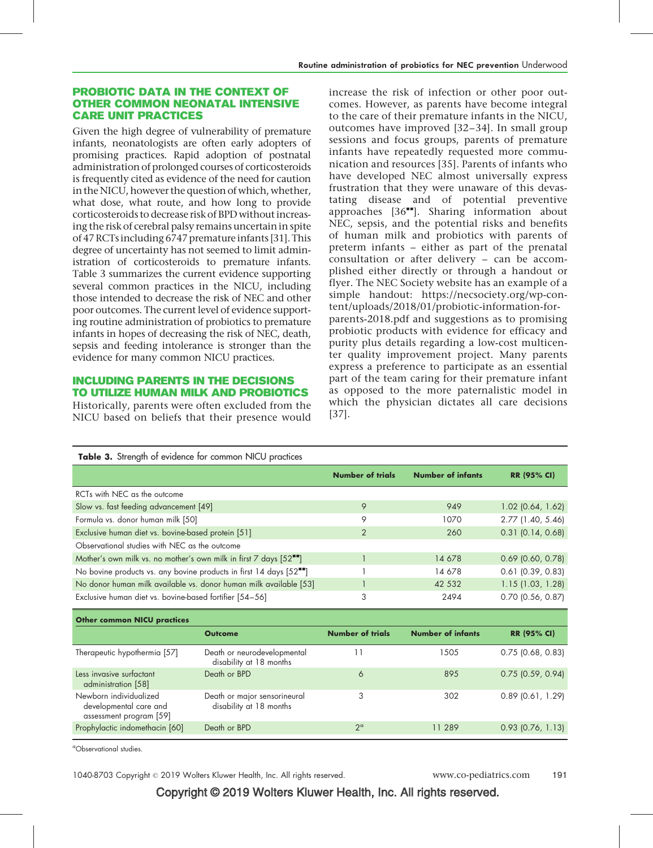# PROBIOTIC DATA IN THE CONTEXT OF OTHER COMMON NEONATAL INTENSIVE CARE UNIT PRACTICES

Given the high degree of vulnerability of premature infants, neonatologists are often early adopters of promising practices. Rapid adoption of postnatal administration of prolonged courses of corticosteroids is frequently cited as evidence of the need for caution in the NICU, however the question of which, whether, what dose, what route, and how long to provide corticosteroids to decrease risk of BPD without increasing the risk of cerebral palsy remains uncertain in spite of 47 RCTs including 6747 premature infants [31]. This degree of uncertainty has not seemed to limit administration of corticosteroids to premature infants. Table 3 summarizes the current evidence supporting several common practices in the NICU, including those intended to decrease the risk of NEC and other poor outcomes. The current level of evidence supporting routine administration of probiotics to premature infants in hopes of decreasing the risk of NEC, death, sepsis and feeding intolerance is stronger than the evidence for many common NICU practices.

# INCLUDING PARENTS IN THE DECISIONS TO UTILIZE HUMAN MILK AND PROBIOTICS

Historically, parents were often excluded from the NICU based on beliefs that their presence would increase the risk of infection or other poor outcomes. However, as parents have become integral to the care of their premature infants in the NICU, outcomes have improved [32–34]. In small group sessions and focus groups, parents of premature infants have repeatedly requested more communication and resources [35]. Parents of infants who have developed NEC almost universally express frustration that they were unaware of this devastating disease and of potential preventive approaches  $[36$ <sup> $\text{m}$ </sup>]. Sharing information about NEC, sepsis, and the potential risks and benefits of human milk and probiotics with parents of preterm infants – either as part of the prenatal consultation or after delivery – can be accomplished either directly or through a handout or flyer. The NEC Society website has an example of a simple handout: [https://necsociety.org/wp-con](https://necsociety.org/wp-content/uploads/2018/01/probiotic-information-for-parents-2018.pdf)[tent/uploads/2018/01/probiotic-information-for](https://necsociety.org/wp-content/uploads/2018/01/probiotic-information-for-parents-2018.pdf)[parents-2018.pdf](https://necsociety.org/wp-content/uploads/2018/01/probiotic-information-for-parents-2018.pdf) and suggestions as to promising probiotic products with evidence for efficacy and purity plus details regarding a low-cost multicenter quality improvement project. Many parents express a preference to participate as an essential part of the team caring for their premature infant as opposed to the more paternalistic model in which the physician dictates all care decisions [37].

| Table 3. Strength of evidence for common NICU practices                     |                                                         |                         |                          |                       |  |
|-----------------------------------------------------------------------------|---------------------------------------------------------|-------------------------|--------------------------|-----------------------|--|
|                                                                             |                                                         | <b>Number of trials</b> | <b>Number of infants</b> | <b>RR (95% CI)</b>    |  |
| RCTs with NEC as the outcome                                                |                                                         |                         |                          |                       |  |
| Slow vs. fast feeding advancement [49]                                      |                                                         | 9                       | 949                      | $1.02$ (0.64, 1.62)   |  |
| Formula vs. donor human milk [50]                                           |                                                         | 9                       | 1070                     | 2.77 (1.40, 5.46)     |  |
| Exclusive human diet vs. bovine-based protein [51]                          |                                                         | $\overline{2}$          | 260                      | $0.31$ (0.14, 0.68)   |  |
| Observational studies with NEC as the outcome                               |                                                         |                         |                          |                       |  |
| Mother's own milk vs. no mother's own milk in first 7 days [52""]           |                                                         |                         | 14 678                   | $0.69$ (0.60, 0.78)   |  |
| No bovine products vs. any bovine products in first 14 days [52""]          |                                                         |                         | 14 678                   | $0.61$ (0.39, 0.83)   |  |
| No donor human milk available vs. donor human milk available [53]           |                                                         |                         | 42 532                   | $1.15$ (1.03, 1.28)   |  |
| Exclusive human diet vs. bovine-based fortifier [54-56]                     |                                                         | 3                       | 2494                     | $0.70$ (0.56, 0.87)   |  |
| <b>Other common NICU practices</b>                                          |                                                         |                         |                          |                       |  |
|                                                                             | <b>Outcome</b>                                          | <b>Number of trials</b> | <b>Number of infants</b> | <b>RR (95% CI)</b>    |  |
| Therapeutic hypothermia [57]                                                | Death or neurodevelopmental<br>disability at 18 months  | 11                      | 1505                     | $0.75$ (0.68, 0.83)   |  |
| Less invasive surfactant<br>administration [58]                             | Death or BPD                                            | 6                       | 895                      | $0.75$ (0.59, 0.94)   |  |
| Newborn individualized<br>developmental care and<br>assessment program [59] | Death or major sensorineural<br>disability at 18 months | 3                       | 302                      | $0.89$ $(0.61, 1.29)$ |  |
| Prophylactic indomethacin [60]                                              | Death or BPD                                            | $2^{\circ}$             | 11 289                   | $0.93$ (0.76, 1.13)   |  |

a Observational studies.

1040-8703 Copyright © 2019 Wolters Kluwer Health, Inc. All rights reserved. www.co-pediatrics.com 191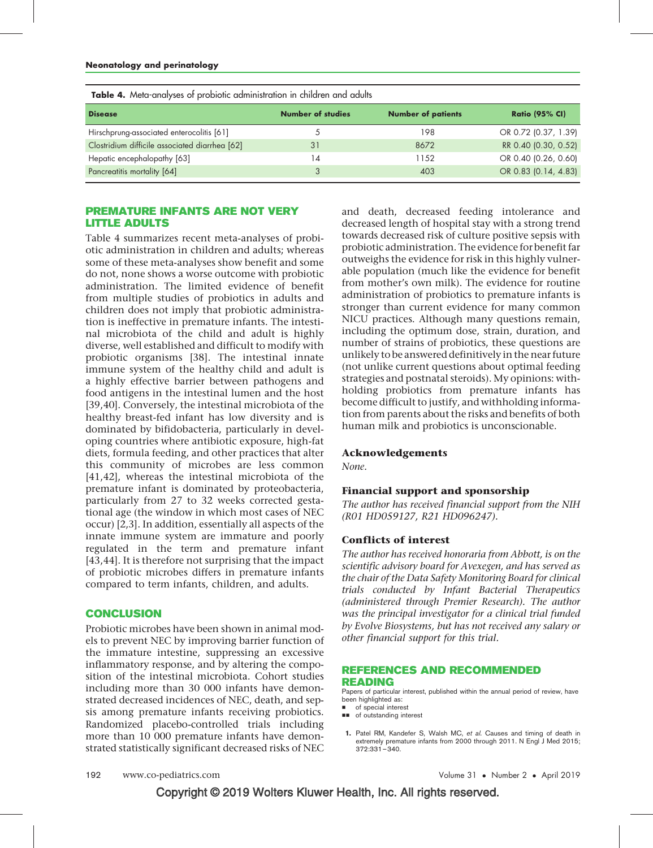| <b>TWEED</b> TO THOIGH CHICH JOOD OF PHODIOTIC CIGITIIITION CHICH CHINGI CHI CHING COOMS |                          |                           |                       |  |  |
|------------------------------------------------------------------------------------------|--------------------------|---------------------------|-----------------------|--|--|
| <b>Disease</b>                                                                           | <b>Number of studies</b> | <b>Number of patients</b> | <b>Ratio (95% CI)</b> |  |  |
| Hirschprung-associated enterocolitis [61]                                                |                          | 198                       | OR 0.72 (0.37, 1.39)  |  |  |
| Clostridium difficile associated diarrhea [62]                                           | 31                       | 8672                      | RR 0.40 (0.30, 0.52)  |  |  |
| Hepatic encephalopathy [63]                                                              | 14                       | 1152                      | OR 0.40 (0.26, 0.60)  |  |  |
| Pancreatitis mortality [64]                                                              |                          | 403                       | OR 0.83 (0.14, 4.83)  |  |  |
|                                                                                          |                          |                           |                       |  |  |

Table 4. Meta-analyses of probiotic administration in children and adults

# PREMATURE INFANTS ARE NOT VERY LITTLE ADULTS

Table 4 summarizes recent meta-analyses of probiotic administration in children and adults; whereas some of these meta-analyses show benefit and some do not, none shows a worse outcome with probiotic administration. The limited evidence of benefit from multiple studies of probiotics in adults and children does not imply that probiotic administration is ineffective in premature infants. The intestinal microbiota of the child and adult is highly diverse, well established and difficult to modify with probiotic organisms [38]. The intestinal innate immune system of the healthy child and adult is a highly effective barrier between pathogens and food antigens in the intestinal lumen and the host [39,40]. Conversely, the intestinal microbiota of the healthy breast-fed infant has low diversity and is dominated by bifidobacteria, particularly in developing countries where antibiotic exposure, high-fat diets, formula feeding, and other practices that alter this community of microbes are less common [41,42], whereas the intestinal microbiota of the premature infant is dominated by proteobacteria, particularly from 27 to 32 weeks corrected gestational age (the window in which most cases of NEC occur) [2,3]. In addition, essentially all aspects of the innate immune system are immature and poorly regulated in the term and premature infant [43,44]. It is therefore not surprising that the impact of probiotic microbes differs in premature infants compared to term infants, children, and adults.

# **CONCLUSION**

Probiotic microbes have been shown in animal models to prevent NEC by improving barrier function of the immature intestine, suppressing an excessive inflammatory response, and by altering the composition of the intestinal microbiota. Cohort studies including more than 30 000 infants have demonstrated decreased incidences of NEC, death, and sepsis among premature infants receiving probiotics. Randomized placebo-controlled trials including more than 10 000 premature infants have demonstrated statistically significant decreased risks of NEC

and death, decreased feeding intolerance and decreased length of hospital stay with a strong trend towards decreased risk of culture positive sepsis with probiotic administration. The evidence for benefit far outweighs the evidence for risk in this highly vulnerable population (much like the evidence for benefit from mother's own milk). The evidence for routine administration of probiotics to premature infants is stronger than current evidence for many common NICU practices. Although many questions remain, including the optimum dose, strain, duration, and number of strains of probiotics, these questions are unlikely to be answered definitively in the near future (not unlike current questions about optimal feeding strategies and postnatal steroids). My opinions: withholding probiotics from premature infants has become difficult to justify, and withholding information from parents about the risks and benefits of both human milk and probiotics is unconscionable.

### Acknowledgements

None.

## Financial support and sponsorship

The author has received financial support from the NIH (R01 HD059127, R21 HD096247).

### Conflicts of interest

The author has received honoraria from Abbott, is on the scientific advisory board for Avexegen, and has served as the chair of the Data Safety Monitoring Board for clinical trials conducted by Infant Bacterial Therapeutics (administered through Premier Research). The author was the principal investigator for a clinical trial funded by Evolve Biosystems, but has not received any salary or other financial support for this trial.

#### REFERENCES AND RECOMMENDED READING

Papers of particular interest, published within the annual period of review, have been highlighted as:

of special interest

 $\blacksquare$  of outstanding interest

1. Patel RM, Kandefer S, Walsh MC, et al. Causes and timing of death in extremely premature infants from 2000 through 2011. N Engl J Med 2015; 372:331–340.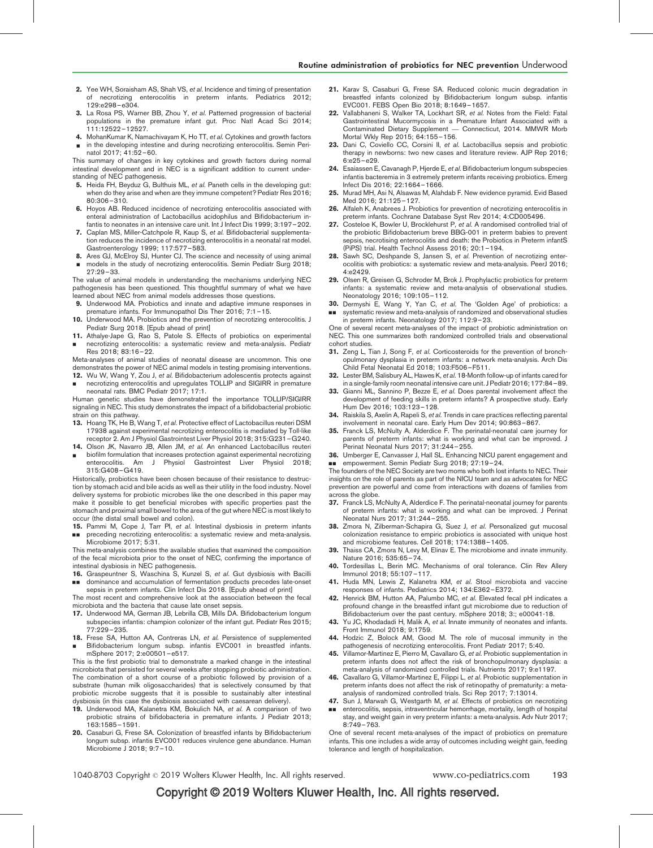- 2. Yee WH, Soraisham AS, Shah VS, et al. Incidence and timing of presentation of necrotizing enterocolitis in preterm infants. Pediatrics 2012; 129:e298–e304.
- 3. La Rosa PS, Warner BB, Zhou Y, et al. Patterned progression of bacterial populations in the premature infant gut. Proc Natl Acad Sci 2014; 111:12522–12527.
- 4. MohanKumar K, Namachivayam K, Ho TT, et al. Cytokines and growth factors
- & in the developing intestine and during necrotizing enterocolitis. Semin Perinatol 2017; 41:52–60.

This summary of changes in key cytokines and growth factors during normal intestinal development and in NEC is a significant addition to current understanding of NEC pathogenesis.

- 5. Heida FH, Beyduz G, Bulthuis ML, et al. Paneth cells in the developing gut: when do they arise and when are they immune competent? Pediatr Res 2016; 80:306–310.
- 6. Hoyos AB. Reduced incidence of necrotizing enterocolitis associated with enteral administration of Lactobacillus acidophilus and Bifidobacterium infantis to neonates in an intensive care unit. Int J Infect Dis 1999; 3:197–202.
- 7. Caplan MS, Miller-Catchpole R, Kaup S, et al. Bifidobacterial supplementation reduces the incidence of necrotizing enterocolitis in a neonatal rat model. Gastroenterology 1999; 117:577–583.
- 8. Ares GJ, McElroy SJ, Hunter CJ. The science and necessity of using animal & models in the study of necrotizing enterocolitis. Semin Pediatr Surg 2018;  $27.29 - 33.$

The value of animal models in understanding the mechanisms underlying NEC pathogenesis has been questioned. This thoughtful summary of what we have learned about NEC from animal models addresses those questions.

- 9. Underwood MA. Probiotics and innate and adaptive immune responses in premature infants. For Immunopathol Dis Ther 2016; 7:1–15.
- 10. Underwood MA. Probiotics and the prevention of necrotizing enterocolitis. J Pediatr Surg 2018. [Epub ahead of print]
- 11. Athalye-Jape G, Rao S, Patole S. Effects of probiotics on experimental & necrotizing enterocolitis: a systematic review and meta-analysis. Pediatr Res 2018; 83:16–22.

Meta-analyses of animal studies of neonatal disease are uncommon. This one demonstrates the power of NEC animal models in testing promising interventions.

12. Wu W, Wang Y, Zou J, et al. Bifidobacterium adolescentis protects against & necrotizing enterocolitis and upregulates TOLLIP and SIGIRR in premature neonatal rats. BMC Pediatr 2017; 17:1.

Human genetic studies have demonstrated the importance TOLLIP/SIGIRR signaling in NEC. This study demonstrates the impact of a bifidobacterial probiotic strain on this pathway

- 13. Hoang TK, He B, Wang T, et al. Protective effect of Lactobacillus reuteri DSM 17938 against experimental necrotizing enterocolitis is mediated by Toll-like receptor 2. Am J Physiol Gastrointest Liver Physiol 2018; 315:G231–G240.
- 14. Olson JK, Navarro JB, Allen JM, et al. An enhanced Lactobacillus reuteri & biofilm formulation that increases protection against experimental necrotizing enterocolitis. Am J Physiol Gastrointest Liver Physiol 2018;

315:G408–G419. Historically, probiotics have been chosen because of their resistance to destruction by stomach acid and bile acids as well as their utility in the food industry. Novel delivery systems for probiotic microbes like the one described in this paper may make it possible to get beneficial microbes with specific properties past the stomach and proximal small bowel to the area of the gut where NEC is most likely to

occur (the distal small bowel and colon). 15. Pammi M, Cope J, Tarr PI, et al. Intestinal dysbiosis in preterm infants && preceding necrotizing enterocolitis: a systematic review and meta-analysis. Microbiome 2017; 5:31.

This meta-analysis combines the available studies that examined the composition of the fecal microbiota prior to the onset of NEC, confirming the importance of intestinal dysbiosis in NEC pathogenesis.

16. Graspeuntner S, Waschina S, Kunzel S, et al. Gut dysbiosis with Bacilli && dominance and accumulation of fermentation products precedes late-onset

sepsis in preterm infants. Clin Infect Dis 2018. [Epub ahead of print] The most recent and comprehensive look at the association between the fecal microbiota and the bacteria that cause late onset sepsis.

- 17. Underwood MA, German JB, Lebrilla CB, Mills DA. Bifidobacterium longum subspecies infantis: champion colonizer of the infant gut. Pediatr Res 2015; 77:229–235.
- 18. Frese SA, Hutton AA, Contreras LN, et al. Persistence of supplemented & Bifidobacterium longum subsp. infantis EVC001 in breastfed infants. mSphere 2017; 2:e00501–e517.

This is the first probiotic trial to demonstrate a marked change in the intestinal microbiota that persisted for several weeks after stopping probiotic administration. The combination of a short course of a probiotic followed by provision of a substrate (human milk oligosaccharides) that is selectively consumed by that probiotic microbe suggests that it is possible to sustainably alter intestinal dysbiosis (in this case the dysbiosis associated with caesarean delivery).

- 19. Underwood MA, Kalanetra KM, Bokulich NA, et al. A comparison of two probiotic strains of bifidobacteria in premature infants. J Pediatr 2013; .<br>163:1585 – 1591.
- 20. Casaburi G, Frese SA. Colonization of breastfed infants by Bifidobacterium longum subsp. infantis EVC001 reduces virulence gene abundance. Human Microbiome J 2018; 9:7–10.
- 21. Karav S, Casaburi G, Frese SA. Reduced colonic mucin degradation in breastfed infants colonized by Bifidobacterium longum subsp. infantis EVC001. FEBS Open Bio 2018; 8:1649–1657.
- 22. Vallabhaneni S, Walker TA, Lockhart SR, et al. Notes from the Field: Fatal<br>Gastrointestinal Mucormycosis in a Premature Infant Associated with a Contaminated Dietary Supplement — Connecticut, 2014. MMWR Morb Mortal Wkly Rep 2015; 64:155–156.
- 23. Dani C, Coviello CC, Corsini II, et al. Lactobacillus sepsis and probiotic therapy in newborns: two new cases and literature review. AJP Rep 2016; 6:e25–e29.
- 24. Esaiassen E, Cavanagh P, Hjerde E, et al. Bifidobacterium longum subspecies infantis bacteremia in 3 extremely preterm infants receiving probiotics. Emerg Infect Dis 2016; 22:1664–1666.
- 25. Murad MH, Asi N, Alsawas M, Alahdab F. New evidence pyramid. Evid Based Med 2016; 21:125–127.
- 26. Alfaleh K, Anabrees J. Probiotics for prevention of necrotizing enterocolitis in preterm infants. Cochrane Database Syst Rev 2014; 4:CD005496.
- 27. Costeloe K, Bowler U, Brocklehurst P, et al. A randomised controlled trial of the probiotic Bifidobacterium breve BBG-001 in preterm babies to prevent sepsis, necrotising enterocolitis and death: the Probiotics in Preterm infantS (PiPS) trial. Health Technol Assess 2016; 20:1–194.
- 28. Sawh SC, Deshpande S, Jansen S, et al. Prevention of necrotizing enterocolitis with probiotics: a systematic review and meta-analysis. PeerJ 2016;  $4.9499$ .
- 29. Olsen R, Greisen G, Schroder M, Brok J. Prophylactic probiotics for preterm infants: a systematic review and meta-analysis of observational studies. Neonatology 2016; 109:105–112.
- 30. Dermyshi E, Wang Y, Yan C, et al. The 'Golden Age' of probiotics: a && systematic review and meta-analysis of randomized and observational studies in preterm infants. Neonatology 2017; 112:9–23.

One of several recent meta-analyses of the impact of probiotic administration on NEC. This one summarizes both randomized controlled trials and observational cohort studies.

- 31. Zeng L, Tian J, Song F, et al. Corticosteroids for the prevention of bronchopulmonary dysplasia in preterm infants: a network meta-analysis. Arch Dis Child Fetal Neonatal Ed 2018; 103:F506–F511.
- Lester BM, Salisbury AL, Hawes K, et al. 18-Month follow-up of infants cared for in a single-family room neonatal intensive care unit. J Pediatr 2016; 177:84–89.
- 33. Gianni ML, Sannino P, Bezze E, et al. Does parental involvement affect the development of feeding skills in preterm infants? A prospective study. Early Hum Dev 2016; 103:123–128.
- 34. Raiskila S, Axelin A, Rapeli S, et al. Trends in care practices reflecting parental involvement in neonatal care. Early Hum Dev 2014; 90:863–867.
- 35. Franck LS, McNulty A, Alderdice F. The perinatal-neonatal care journey for parents of preterm infants: what is working and what can be improved. J Perinat Neonatal Nurs 2017; 31:244–255.
- 36. Umberger E, Canvasser J, Hall SL. Enhancing NICU parent engagement and ■■ empowerment. Semin Pediatr Surg 2018; 27:19-24.

The founders of the NEC Society are two moms who both lost infants to NEC. Their insights on the role of parents as part of the NICU team and as advocates for NEC prevention are powerful and come from interactions with dozens of families from across the globe.

- 37. Franck LS, McNulty A, Alderdice F. The perinatal-neonatal journey for parents of preterm infants: what is working and what can be improved. J Perinat Neonatal Nurs 2017; 31:244–255.
- 38. Zmora N, Zilberman-Schapira G, Suez J, et al. Personalized gut mucosal colonization resistance to empiric probiotics is associated with unique host and microbiome features. Cell 2018; 174:1388–1405.
- Thaiss CA, Zmora N, Levy M, Elinav E. The microbiome and innate immunity. Nature 2016; 535:65–74.
- 40. Tordesillas L, Berin MC. Mechanisms of oral tolerance. Clin Rev Allery Immunol 2018; 55:107–117.
- 41. Huda MN, Lewis Z, Kalanetra KM, et al. Stool microbiota and vaccine responses of infants. Pediatrics 2014; 134:E362–E372.
- 42. Henrick BM, Hutton AA, Palumbo MC, et al. Elevated fecal pH indicates a profound change in the breastfed infant gut microbiome due to reduction of .<br>Bifidobacterium over the past century. mSphere 2018; 3:; e00041-18.
- 43. Yu JC, Khodadadi H, Malik A, et al. Innate immunity of neonates and infants. Front Immunol 2018; 9:1759.
- 44. Hodzic Z, Bolock AM, Good M. The role of mucosal immunity in the pathogenesis of necrotizing enterocolitis. Front Pediatr 2017; 5:40.
- 45. Villamor-Martinez E, Pierro M, Cavallaro G, et al. Probiotic supplementation in preterm infants does not affect the risk of bronchopulmonary dysplasia: a meta-analysis of randomized controlled trials. Nutrients 2017; 9:e1197.
- 46. Cavallaro G, Villamor-Martinez E, Filippi L, et al. Probiotic supplementation in preterm infants does not affect the risk of retinopathy of prematurity: a metaanalysis of randomized controlled trials. Sci Rep 2017; 7:13014.
- 47. Sun J, Marwah G, Westgarth M, et al. Effects of probiotics on necrotizing
- && enterocolitis, sepsis, intraventricular hemorrhage, mortality, length of hospital stay, and weight gain in very preterm infants: a meta-analysis. Adv Nutr 2017; 8:749–763.

One of several recent meta-analyses of the impact of probiotics on premature infants. This one includes a wide array of outcomes including weight gain, feeding tolerance and length of hospitalization.

1040-8703 Copyright © 2019 Wolters Kluwer Health, Inc. All rights reserved. www.co-pediatrics.com 193

# Copyright © 2019 Wolters Kluwer Health, Inc. All rights reserved.